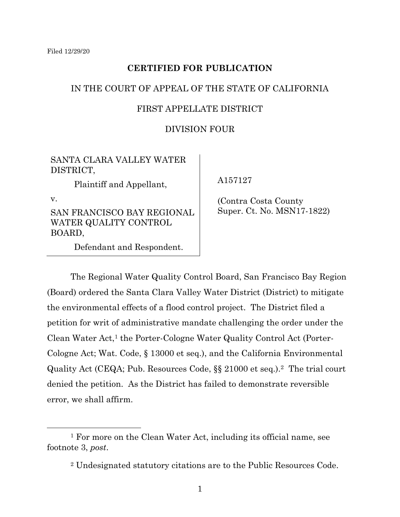# **CERTIFIED FOR PUBLICATION**

# IN THE COURT OF APPEAL OF THE STATE OF CALIFORNIA

# FIRST APPELLATE DISTRICT

## DIVISION FOUR

# SANTA CLARA VALLEY WATER DISTRICT,

Plaintiff and Appellant,

v.

SAN FRANCISCO BAY REGIONAL WATER QUALITY CONTROL BOARD,

Defendant and Respondent.

A157127

 (Contra Costa County Super. Ct. No. MSN17-1822)

The Regional Water Quality Control Board, San Francisco Bay Region (Board) ordered the Santa Clara Valley Water District (District) to mitigate the environmental effects of a flood control project. The District filed a petition for writ of administrative mandate challenging the order under the Clean Water Act,<sup>1</sup> the Porter-Cologne Water Quality Control Act (Porter-Cologne Act; Wat. Code, § 13000 et seq.), and the California Environmental Quality Act (CEQA; Pub. Resources Code, §§ 21000 et seq.).2 The trial court denied the petition. As the District has failed to demonstrate reversible error, we shall affirm.

<sup>1</sup> For more on the Clean Water Act, including its official name, see footnote 3, *post*.

<sup>2</sup> Undesignated statutory citations are to the Public Resources Code.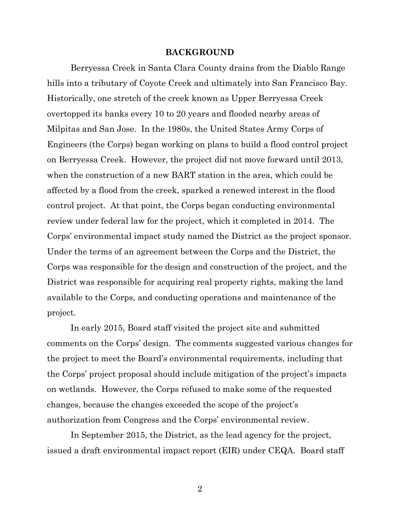#### **BACKGROUND**

Berryessa Creek in Santa Clara County drains from the Diablo Range hills into a tributary of Coyote Creek and ultimately into San Francisco Bay. Historically, one stretch of the creek known as Upper Berryessa Creek overtopped its banks every 10 to 20 years and flooded nearby areas of Milpitas and San Jose. In the 1980s, the United States Army Corps of Engineers (the Corps) began working on plans to build a flood control project on Berryessa Creek. However, the project did not move forward until 2013, when the construction of a new BART station in the area, which could be affected by a flood from the creek, sparked a renewed interest in the flood control project. At that point, the Corps began conducting environmental review under federal law for the project, which it completed in 2014. The Corps' environmental impact study named the District as the project sponsor. Under the terms of an agreement between the Corps and the District, the Corps was responsible for the design and construction of the project, and the District was responsible for acquiring real property rights, making the land available to the Corps, and conducting operations and maintenance of the project.

In early 2015, Board staff visited the project site and submitted comments on the Corps' design. The comments suggested various changes for the project to meet the Board's environmental requirements, including that the Corps' project proposal should include mitigation of the project's impacts on wetlands. However, the Corps refused to make some of the requested changes, because the changes exceeded the scope of the project's authorization from Congress and the Corps' environmental review.

In September 2015, the District, as the lead agency for the project, issued a draft environmental impact report (EIR) under CEQA. Board staff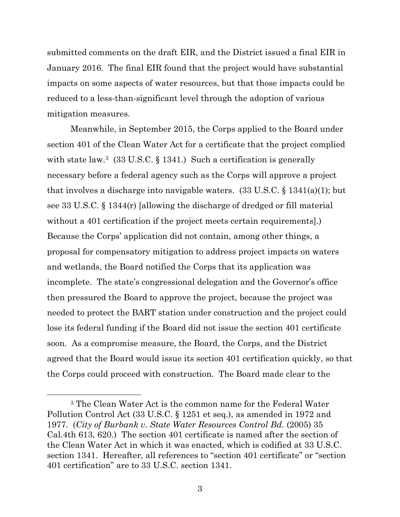submitted comments on the draft EIR, and the District issued a final EIR in January 2016. The final EIR found that the project would have substantial impacts on some aspects of water resources, but that those impacts could be reduced to a less-than-significant level through the adoption of various mitigation measures.

Meanwhile, in September 2015, the Corps applied to the Board under section 401 of the Clean Water Act for a certificate that the project complied with state law.<sup>3</sup> (33 U.S.C. § 1341.) Such a certification is generally necessary before a federal agency such as the Corps will approve a project that involves a discharge into navigable waters.  $(33 \text{ U.S.C.} \S 1341(a)(1))$ ; but see 33 U.S.C. § 1344(r) [allowing the discharge of dredged or fill material without a 401 certification if the project meets certain requirements].) Because the Corps' application did not contain, among other things, a proposal for compensatory mitigation to address project impacts on waters and wetlands, the Board notified the Corps that its application was incomplete. The state's congressional delegation and the Governor's office then pressured the Board to approve the project, because the project was needed to protect the BART station under construction and the project could lose its federal funding if the Board did not issue the section 401 certificate soon. As a compromise measure, the Board, the Corps, and the District agreed that the Board would issue its section 401 certification quickly, so that the Corps could proceed with construction. The Board made clear to the

<sup>3</sup> The Clean Water Act is the common name for the Federal Water Pollution Control Act (33 U.S.C. § 1251 et seq.), as amended in 1972 and 1977. (*City of Burbank v. State Water Resources Control Bd.* (2005) 35 Cal.4th 613, 620.) The section 401 certificate is named after the section of the Clean Water Act in which it was enacted, which is codified at 33 U.S.C. section 1341. Hereafter, all references to "section 401 certificate" or "section 401 certification" are to 33 U.S.C. section 1341.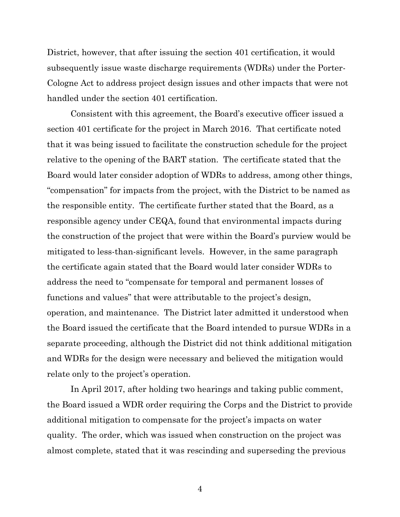District, however, that after issuing the section 401 certification, it would subsequently issue waste discharge requirements (WDRs) under the Porter-Cologne Act to address project design issues and other impacts that were not handled under the section 401 certification.

Consistent with this agreement, the Board's executive officer issued a section 401 certificate for the project in March 2016. That certificate noted that it was being issued to facilitate the construction schedule for the project relative to the opening of the BART station. The certificate stated that the Board would later consider adoption of WDRs to address, among other things, "compensation" for impacts from the project, with the District to be named as the responsible entity. The certificate further stated that the Board, as a responsible agency under CEQA, found that environmental impacts during the construction of the project that were within the Board's purview would be mitigated to less-than-significant levels. However, in the same paragraph the certificate again stated that the Board would later consider WDRs to address the need to "compensate for temporal and permanent losses of functions and values" that were attributable to the project's design, operation, and maintenance. The District later admitted it understood when the Board issued the certificate that the Board intended to pursue WDRs in a separate proceeding, although the District did not think additional mitigation and WDRs for the design were necessary and believed the mitigation would relate only to the project's operation.

In April 2017, after holding two hearings and taking public comment, the Board issued a WDR order requiring the Corps and the District to provide additional mitigation to compensate for the project's impacts on water quality. The order, which was issued when construction on the project was almost complete, stated that it was rescinding and superseding the previous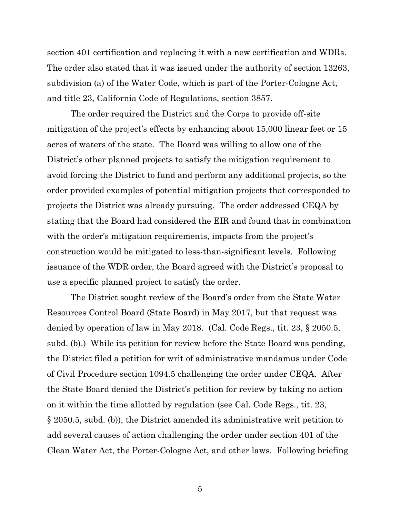section 401 certification and replacing it with a new certification and WDRs. The order also stated that it was issued under the authority of section 13263, subdivision (a) of the Water Code, which is part of the Porter-Cologne Act, and title 23, California Code of Regulations, section 3857.

The order required the District and the Corps to provide off-site mitigation of the project's effects by enhancing about 15,000 linear feet or 15 acres of waters of the state. The Board was willing to allow one of the District's other planned projects to satisfy the mitigation requirement to avoid forcing the District to fund and perform any additional projects, so the order provided examples of potential mitigation projects that corresponded to projects the District was already pursuing. The order addressed CEQA by stating that the Board had considered the EIR and found that in combination with the order's mitigation requirements, impacts from the project's construction would be mitigated to less-than-significant levels. Following issuance of the WDR order, the Board agreed with the District's proposal to use a specific planned project to satisfy the order.

The District sought review of the Board's order from the State Water Resources Control Board (State Board) in May 2017, but that request was denied by operation of law in May 2018. (Cal. Code Regs., tit. 23, § 2050.5, subd. (b).) While its petition for review before the State Board was pending, the District filed a petition for writ of administrative mandamus under Code of Civil Procedure section 1094.5 challenging the order under CEQA. After the State Board denied the District's petition for review by taking no action on it within the time allotted by regulation (see Cal. Code Regs., tit. 23, § 2050.5, subd. (b)), the District amended its administrative writ petition to add several causes of action challenging the order under section 401 of the Clean Water Act, the Porter-Cologne Act, and other laws. Following briefing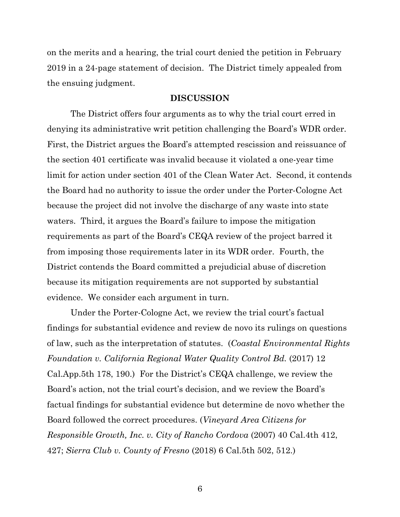on the merits and a hearing, the trial court denied the petition in February 2019 in a 24-page statement of decision. The District timely appealed from the ensuing judgment.

#### **DISCUSSION**

The District offers four arguments as to why the trial court erred in denying its administrative writ petition challenging the Board's WDR order. First, the District argues the Board's attempted rescission and reissuance of the section 401 certificate was invalid because it violated a one-year time limit for action under section 401 of the Clean Water Act. Second, it contends the Board had no authority to issue the order under the Porter-Cologne Act because the project did not involve the discharge of any waste into state waters. Third, it argues the Board's failure to impose the mitigation requirements as part of the Board's CEQA review of the project barred it from imposing those requirements later in its WDR order. Fourth, the District contends the Board committed a prejudicial abuse of discretion because its mitigation requirements are not supported by substantial evidence. We consider each argument in turn.

Under the Porter-Cologne Act, we review the trial court's factual findings for substantial evidence and review de novo its rulings on questions of law, such as the interpretation of statutes. (*Coastal Environmental Rights Foundation v. California Regional Water Quality Control Bd.* (2017) 12 Cal.App.5th 178, 190.) For the District's CEQA challenge, we review the Board's action, not the trial court's decision, and we review the Board's factual findings for substantial evidence but determine de novo whether the Board followed the correct procedures. (*Vineyard Area Citizens for Responsible Growth, Inc. v. City of Rancho Cordova* (2007) 40 Cal.4th 412, 427; *Sierra Club v. County of Fresno* (2018) 6 Cal.5th 502, 512.)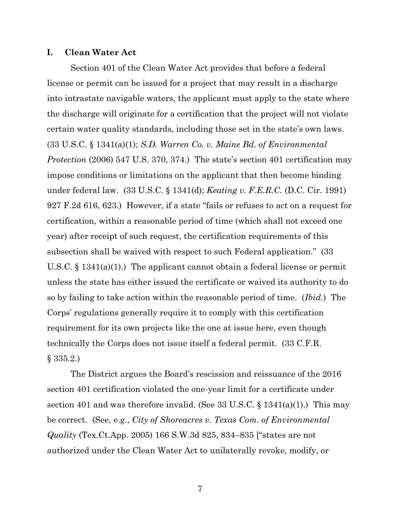#### **I. Clean Water Act**

Section 401 of the Clean Water Act provides that before a federal license or permit can be issued for a project that may result in a discharge into intrastate navigable waters, the applicant must apply to the state where the discharge will originate for a certification that the project will not violate certain water quality standards, including those set in the state's own laws. (33 U.S.C. § 1341(a)(1); *S.D. Warren Co. v. Maine Bd. of Environmental Protection* (2006) 547 U.S. 370, 374.) The state's section 401 certification may impose conditions or limitations on the applicant that then become binding under federal law. (33 U.S.C. § 1341(d); *Keating v. F.E.R.C.* (D.C. Cir. 1991) 927 F.2d 616, 623.) However, if a state "fails or refuses to act on a request for certification, within a reasonable period of time (which shall not exceed one year) after receipt of such request, the certification requirements of this subsection shall be waived with respect to such Federal application." (33 U.S.C. § 1341(a)(1).) The applicant cannot obtain a federal license or permit unless the state has either issued the certificate or waived its authority to do so by failing to take action within the reasonable period of time. (*Ibid.*) The Corps' regulations generally require it to comply with this certification requirement for its own projects like the one at issue here, even though technically the Corps does not issue itself a federal permit. (33 C.F.R. § 335.2.)

The District argues the Board's rescission and reissuance of the 2016 section 401 certification violated the one-year limit for a certificate under section 401 and was therefore invalid. (See 33 U.S.C.  $\S$  1341(a)(1).) This may be correct. (See, e.g., *City of Shoreacres v. Texas Com. of Environmental Quality* (Tex.Ct.App. 2005) 166 S.W.3d 825, 834–835 ["states are not authorized under the Clean Water Act to unilaterally revoke, modify, or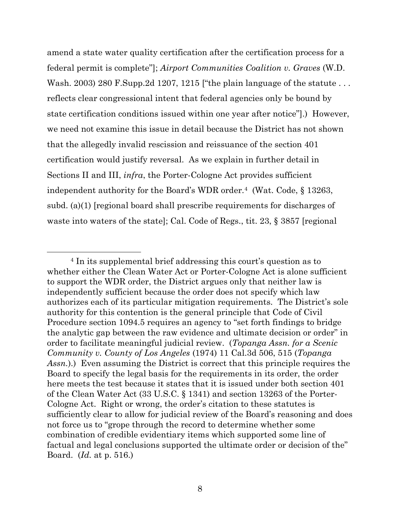amend a state water quality certification after the certification process for a federal permit is complete"]; *Airport Communities Coalition v. Graves* (W.D. Wash. 2003) 280 F. Supp. 2d 1207, 1215 ["the plain language of the statute  $\dots$ reflects clear congressional intent that federal agencies only be bound by state certification conditions issued within one year after notice"].) However, we need not examine this issue in detail because the District has not shown that the allegedly invalid rescission and reissuance of the section 401 certification would justify reversal. As we explain in further detail in Sections II and III, *infra*, the Porter-Cologne Act provides sufficient independent authority for the Board's WDR order.<sup>4</sup> (Wat. Code, § 13263, subd. (a)(1) [regional board shall prescribe requirements for discharges of waste into waters of the state]; Cal. Code of Regs., tit. 23, § 3857 [regional]

<sup>4</sup> In its supplemental brief addressing this court's question as to whether either the Clean Water Act or Porter-Cologne Act is alone sufficient to support the WDR order, the District argues only that neither law is independently sufficient because the order does not specify which law authorizes each of its particular mitigation requirements. The District's sole authority for this contention is the general principle that Code of Civil Procedure section 1094.5 requires an agency to "set forth findings to bridge the analytic gap between the raw evidence and ultimate decision or order" in order to facilitate meaningful judicial review. (*Topanga Assn. for a Scenic Community v. County of Los Angeles* (1974) 11 Cal.3d 506, 515 (*Topanga Assn.*).) Even assuming the District is correct that this principle requires the Board to specify the legal basis for the requirements in its order, the order here meets the test because it states that it is issued under both section 401 of the Clean Water Act (33 U.S.C. § 1341) and section 13263 of the Porter-Cologne Act. Right or wrong, the order's citation to these statutes is sufficiently clear to allow for judicial review of the Board's reasoning and does not force us to "grope through the record to determine whether some combination of credible evidentiary items which supported some line of factual and legal conclusions supported the ultimate order or decision of the" Board. (*Id.* at p. 516.)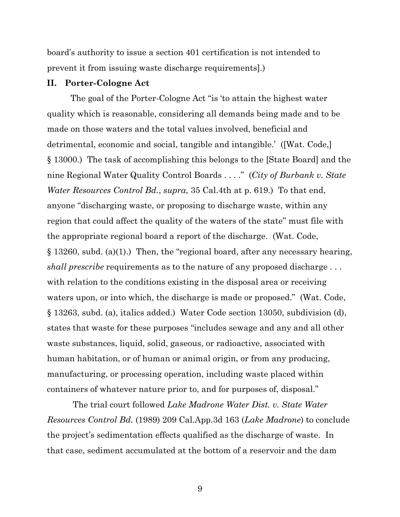board's authority to issue a section 401 certification is not intended to prevent it from issuing waste discharge requirements].)

### **II. Porter-Cologne Act**

The goal of the Porter-Cologne Act "is 'to attain the highest water quality which is reasonable, considering all demands being made and to be made on those waters and the total values involved, beneficial and detrimental, economic and social, tangible and intangible.' ([Wat. Code,] § 13000.) The task of accomplishing this belongs to the [State Board] and the nine Regional Water Quality Control Boards . . . ." (*City of Burbank v. State Water Resources Control Bd.*, *supra*, 35 Cal.4th at p. 619.) To that end, anyone "discharging waste, or proposing to discharge waste, within any region that could affect the quality of the waters of the state" must file with the appropriate regional board a report of the discharge. (Wat. Code, § 13260, subd. (a)(1).) Then, the "regional board, after any necessary hearing, *shall prescribe* requirements as to the nature of any proposed discharge . . . with relation to the conditions existing in the disposal area or receiving waters upon, or into which, the discharge is made or proposed." (Wat. Code, § 13263, subd. (a), italics added.) Water Code section 13050, subdivision (d), states that waste for these purposes "includes sewage and any and all other waste substances, liquid, solid, gaseous, or radioactive, associated with human habitation, or of human or animal origin, or from any producing, manufacturing, or processing operation, including waste placed within containers of whatever nature prior to, and for purposes of, disposal."

The trial court followed *Lake Madrone Water Dist. v. State Water Resources Control Bd.* (1989) 209 Cal.App.3d 163 (*Lake Madrone*) to conclude the project's sedimentation effects qualified as the discharge of waste. In that case, sediment accumulated at the bottom of a reservoir and the dam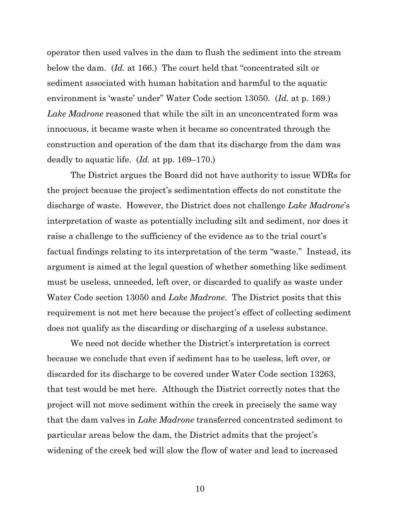operator then used valves in the dam to flush the sediment into the stream below the dam. (*Id.* at 166.) The court held that "concentrated silt or sediment associated with human habitation and harmful to the aquatic environment is 'waste' under" Water Code section 13050. (*Id.* at p. 169.) *Lake Madrone* reasoned that while the silt in an unconcentrated form was innocuous, it became waste when it became so concentrated through the construction and operation of the dam that its discharge from the dam was deadly to aquatic life. (*Id.* at pp. 169–170.)

The District argues the Board did not have authority to issue WDRs for the project because the project's sedimentation effects do not constitute the discharge of waste. However, the District does not challenge *Lake Madrone*'s interpretation of waste as potentially including silt and sediment, nor does it raise a challenge to the sufficiency of the evidence as to the trial court's factual findings relating to its interpretation of the term "waste." Instead, its argument is aimed at the legal question of whether something like sediment must be useless, unneeded, left over, or discarded to qualify as waste under Water Code section 13050 and *Lake Madrone*. The District posits that this requirement is not met here because the project's effect of collecting sediment does not qualify as the discarding or discharging of a useless substance.

We need not decide whether the District's interpretation is correct because we conclude that even if sediment has to be useless, left over, or discarded for its discharge to be covered under Water Code section 13263, that test would be met here. Although the District correctly notes that the project will not move sediment within the creek in precisely the same way that the dam valves in *Lake Madrone* transferred concentrated sediment to particular areas below the dam, the District admits that the project's widening of the creek bed will slow the flow of water and lead to increased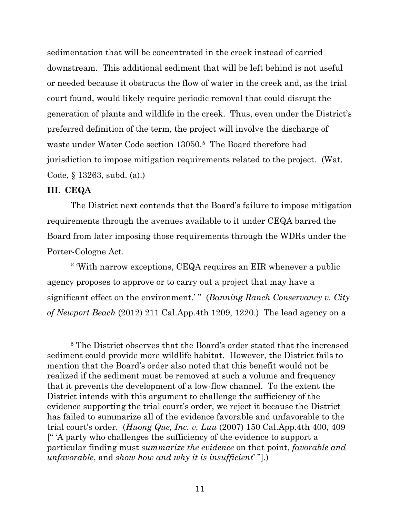sedimentation that will be concentrated in the creek instead of carried downstream. This additional sediment that will be left behind is not useful or needed because it obstructs the flow of water in the creek and, as the trial court found, would likely require periodic removal that could disrupt the generation of plants and wildlife in the creek. Thus, even under the District's preferred definition of the term, the project will involve the discharge of waste under Water Code section 13050. <sup>5</sup> The Board therefore had jurisdiction to impose mitigation requirements related to the project. (Wat. Code, § 13263, subd. (a).)

### **III. CEQA**

The District next contends that the Board's failure to impose mitigation requirements through the avenues available to it under CEQA barred the Board from later imposing those requirements through the WDRs under the Porter-Cologne Act.

" 'With narrow exceptions, CEQA requires an EIR whenever a public agency proposes to approve or to carry out a project that may have a significant effect on the environment.'" (*Banning Ranch Conservancy v. City of Newport Beach* (2012) 211 Cal.App.4th 1209, 1220.) The lead agency on a

<sup>5</sup> The District observes that the Board's order stated that the increased sediment could provide more wildlife habitat. However, the District fails to mention that the Board's order also noted that this benefit would not be realized if the sediment must be removed at such a volume and frequency that it prevents the development of a low-flow channel. To the extent the District intends with this argument to challenge the sufficiency of the evidence supporting the trial court's order, we reject it because the District has failed to summarize all of the evidence favorable and unfavorable to the trial court's order. (*Huong Que, Inc. v. Luu* (2007) 150 Cal.App.4th 400, 409 [" 'A party who challenges the sufficiency of the evidence to support a particular finding must *summarize the evidence* on that point, *favorable and unfavorable*, and *show how and why it is insufficient*' "].)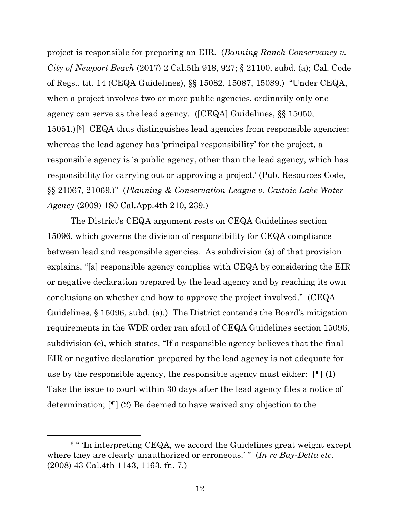project is responsible for preparing an EIR. (*Banning Ranch Conservancy v. City of Newport Beach* (2017) 2 Cal.5th 918, 927; § 21100, subd. (a); Cal. Code of Regs., tit. 14 (CEQA Guidelines), §§ 15082, 15087, 15089.) "Under CEQA, when a project involves two or more public agencies, ordinarily only one agency can serve as the lead agency. ([CEQA] Guidelines, §§ 15050, 15051.)[ <sup>6</sup>] CEQA thus distinguishes lead agencies from responsible agencies: whereas the lead agency has 'principal responsibility' for the project, a responsible agency is 'a public agency, other than the lead agency, which has responsibility for carrying out or approving a project.' (Pub. Resources Code, §§ 21067, 21069.)" (*Planning & Conservation League v. Castaic Lake Water Agency* (2009) 180 Cal.App.4th 210, 239.)

The District's CEQA argument rests on CEQA Guidelines section 15096, which governs the division of responsibility for CEQA compliance between lead and responsible agencies. As subdivision (a) of that provision explains, "[a] responsible agency complies with CEQA by considering the EIR or negative declaration prepared by the lead agency and by reaching its own conclusions on whether and how to approve the project involved." (CEQA Guidelines, § 15096, subd. (a).) The District contends the Board's mitigation requirements in the WDR order ran afoul of CEQA Guidelines section 15096, subdivision (e), which states, "If a responsible agency believes that the final EIR or negative declaration prepared by the lead agency is not adequate for use by the responsible agency, the responsible agency must either: [¶] (1) Take the issue to court within 30 days after the lead agency files a notice of determination; [¶] (2) Be deemed to have waived any objection to the

 $^{6}$  " Tn interpreting CEQA, we accord the Guidelines great weight except where they are clearly unauthorized or erroneous.'" (*In re Bay-Delta etc.* (2008) 43 Cal.4th 1143, 1163, fn. 7.)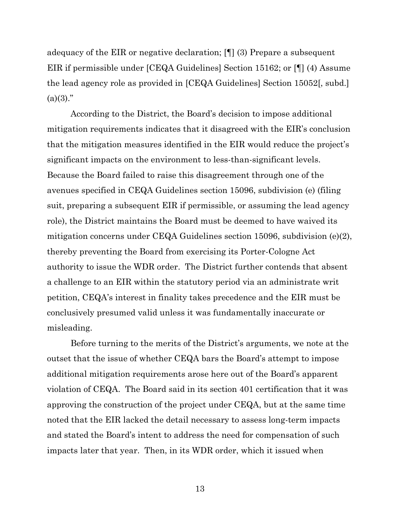adequacy of the EIR or negative declaration; [¶] (3) Prepare a subsequent EIR if permissible under [CEQA Guidelines] Section 15162; or [¶] (4) Assume the lead agency role as provided in [CEQA Guidelines] Section 15052[, subd.]  $(a)(3)$ ."

According to the District, the Board's decision to impose additional mitigation requirements indicates that it disagreed with the EIR's conclusion that the mitigation measures identified in the EIR would reduce the project's significant impacts on the environment to less-than-significant levels. Because the Board failed to raise this disagreement through one of the avenues specified in CEQA Guidelines section 15096, subdivision (e) (filing suit, preparing a subsequent EIR if permissible, or assuming the lead agency role), the District maintains the Board must be deemed to have waived its mitigation concerns under CEQA Guidelines section 15096, subdivision (e)(2), thereby preventing the Board from exercising its Porter-Cologne Act authority to issue the WDR order. The District further contends that absent a challenge to an EIR within the statutory period via an administrate writ petition, CEQA's interest in finality takes precedence and the EIR must be conclusively presumed valid unless it was fundamentally inaccurate or misleading.

Before turning to the merits of the District's arguments, we note at the outset that the issue of whether CEQA bars the Board's attempt to impose additional mitigation requirements arose here out of the Board's apparent violation of CEQA. The Board said in its section 401 certification that it was approving the construction of the project under CEQA, but at the same time noted that the EIR lacked the detail necessary to assess long-term impacts and stated the Board's intent to address the need for compensation of such impacts later that year. Then, in its WDR order, which it issued when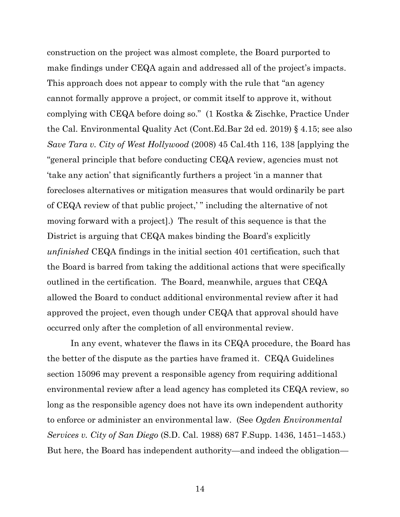construction on the project was almost complete, the Board purported to make findings under CEQA again and addressed all of the project's impacts. This approach does not appear to comply with the rule that "an agency cannot formally approve a project, or commit itself to approve it, without complying with CEQA before doing so." (1 Kostka & Zischke, Practice Under the Cal. Environmental Quality Act (Cont.Ed.Bar 2d ed. 2019) § 4.15; see also *Save Tara v. City of West Hollywood* (2008) 45 Cal.4th 116, 138 [applying the "general principle that before conducting CEQA review, agencies must not 'take any action' that significantly furthers a project 'in a manner that forecloses alternatives or mitigation measures that would ordinarily be part of CEQA review of that public project,' " including the alternative of not moving forward with a project].) The result of this sequence is that the District is arguing that CEQA makes binding the Board's explicitly *unfinished* CEQA findings in the initial section 401 certification, such that the Board is barred from taking the additional actions that were specifically outlined in the certification. The Board, meanwhile, argues that CEQA allowed the Board to conduct additional environmental review after it had approved the project, even though under CEQA that approval should have occurred only after the completion of all environmental review.

In any event, whatever the flaws in its CEQA procedure, the Board has the better of the dispute as the parties have framed it. CEQA Guidelines section 15096 may prevent a responsible agency from requiring additional environmental review after a lead agency has completed its CEQA review, so long as the responsible agency does not have its own independent authority to enforce or administer an environmental law. (See *Ogden Environmental Services v. City of San Diego* (S.D. Cal. 1988) 687 F.Supp. 1436, 1451–1453.) But here, the Board has independent authority—and indeed the obligation—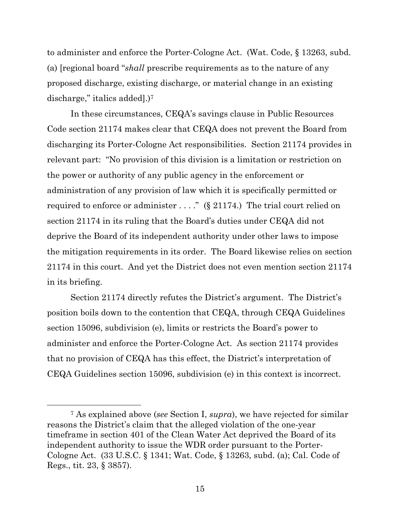to administer and enforce the Porter-Cologne Act. (Wat. Code, § 13263, subd. (a) [regional board "*shall* prescribe requirements as to the nature of any proposed discharge, existing discharge, or material change in an existing discharge," italics added.)<sup>7</sup>

In these circumstances, CEQA's savings clause in Public Resources Code section 21174 makes clear that CEQA does not prevent the Board from discharging its Porter-Cologne Act responsibilities. Section 21174 provides in relevant part: "No provision of this division is a limitation or restriction on the power or authority of any public agency in the enforcement or administration of any provision of law which it is specifically permitted or required to enforce or administer  $\dots$ ." (§ 21174.) The trial court relied on section 21174 in its ruling that the Board's duties under CEQA did not deprive the Board of its independent authority under other laws to impose the mitigation requirements in its order. The Board likewise relies on section 21174 in this court. And yet the District does not even mention section 21174 in its briefing.

Section 21174 directly refutes the District's argument. The District's position boils down to the contention that CEQA, through CEQA Guidelines section 15096, subdivision (e), limits or restricts the Board's power to administer and enforce the Porter-Cologne Act. As section 21174 provides that no provision of CEQA has this effect, the District's interpretation of CEQA Guidelines section 15096, subdivision (e) in this context is incorrect.

<sup>7</sup> As explained above (*see* Section I, *supra*), we have rejected for similar reasons the District's claim that the alleged violation of the one-year timeframe in section 401 of the Clean Water Act deprived the Board of its independent authority to issue the WDR order pursuant to the Porter-Cologne Act. (33 U.S.C. § 1341; Wat. Code, § 13263, subd. (a); Cal. Code of Regs., tit. 23, § 3857).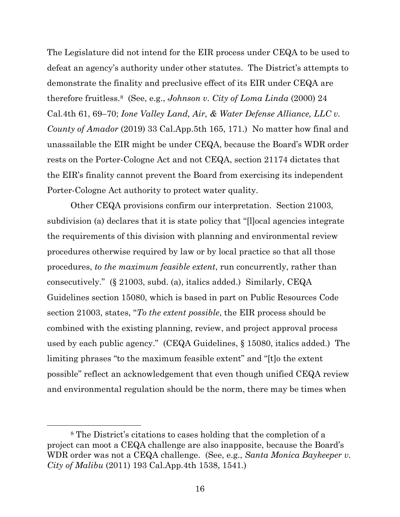The Legislature did not intend for the EIR process under CEQA to be used to defeat an agency's authority under other statutes. The District's attempts to demonstrate the finality and preclusive effect of its EIR under CEQA are therefore fruitless.<sup>8</sup> (See, e.g., *Johnson v. City of Loma Linda* (2000) 24 Cal.4th 61, 69–70; *Ione Valley Land, Air, & Water Defense Alliance, LLC v. County of Amador* (2019) 33 Cal.App.5th 165, 171.) No matter how final and unassailable the EIR might be under CEQA, because the Board's WDR order rests on the Porter-Cologne Act and not CEQA, section 21174 dictates that the EIR's finality cannot prevent the Board from exercising its independent Porter-Cologne Act authority to protect water quality.

Other CEQA provisions confirm our interpretation. Section 21003, subdivision (a) declares that it is state policy that "[l]ocal agencies integrate the requirements of this division with planning and environmental review procedures otherwise required by law or by local practice so that all those procedures, *to the maximum feasible extent*, run concurrently, rather than consecutively." (§ 21003, subd. (a), italics added.) Similarly, CEQA Guidelines section 15080, which is based in part on Public Resources Code section 21003, states, "*To the extent possible*, the EIR process should be combined with the existing planning, review, and project approval process used by each public agency." (CEQA Guidelines, § 15080, italics added.) The limiting phrases "to the maximum feasible extent" and "[t]o the extent possible" reflect an acknowledgement that even though unified CEQA review and environmental regulation should be the norm, there may be times when

<sup>8</sup> The District's citations to cases holding that the completion of a project can moot a CEQA challenge are also inapposite, because the Board's WDR order was not a CEQA challenge. (See, e.g., *Santa Monica Baykeeper v. City of Malibu* (2011) 193 Cal.App.4th 1538, 1541.)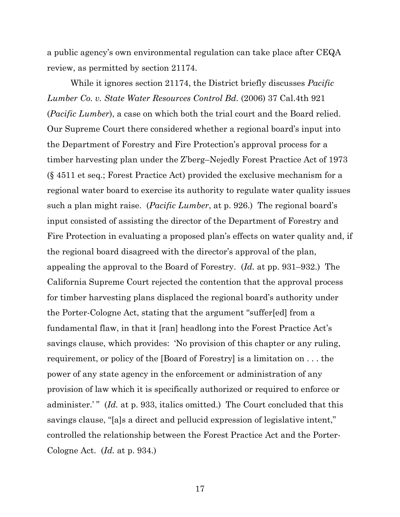a public agency's own environmental regulation can take place after CEQA review, as permitted by section 21174.

While it ignores section 21174, the District briefly discusses *Pacific Lumber Co. v. State Water Resources Control Bd.* (2006) 37 Cal.4th 921 (*Pacific Lumber*), a case on which both the trial court and the Board relied. Our Supreme Court there considered whether a regional board's input into the Department of Forestry and Fire Protection's approval process for a timber harvesting plan under the Z'berg–Nejedly Forest Practice Act of 1973 (§ 4511 et seq.; Forest Practice Act) provided the exclusive mechanism for a regional water board to exercise its authority to regulate water quality issues such a plan might raise. (*Pacific Lumber*, at p. 926.) The regional board's input consisted of assisting the director of the Department of Forestry and Fire Protection in evaluating a proposed plan's effects on water quality and, if the regional board disagreed with the director's approval of the plan, appealing the approval to the Board of Forestry. (*Id.* at pp. 931–932.) The California Supreme Court rejected the contention that the approval process for timber harvesting plans displaced the regional board's authority under the Porter-Cologne Act, stating that the argument "suffer[ed] from a fundamental flaw, in that it [ran] headlong into the Forest Practice Act's savings clause, which provides: 'No provision of this chapter or any ruling, requirement, or policy of the [Board of Forestry] is a limitation on . . . the power of any state agency in the enforcement or administration of any provision of law which it is specifically authorized or required to enforce or administer.'" (*Id.* at p. 933, italics omitted.) The Court concluded that this savings clause, "[a]s a direct and pellucid expression of legislative intent," controlled the relationship between the Forest Practice Act and the Porter-Cologne Act. (*Id.* at p. 934.)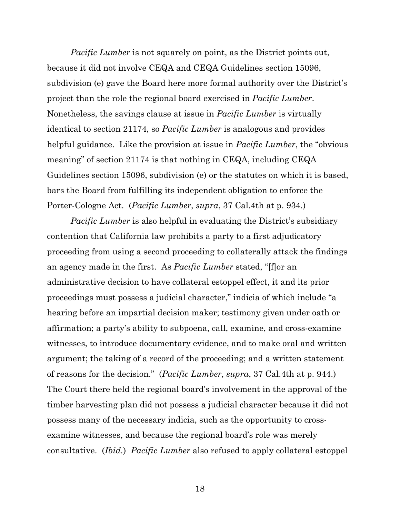*Pacific Lumber* is not squarely on point, as the District points out, because it did not involve CEQA and CEQA Guidelines section 15096, subdivision (e) gave the Board here more formal authority over the District's project than the role the regional board exercised in *Pacific Lumber*. Nonetheless, the savings clause at issue in *Pacific Lumber* is virtually identical to section 21174, so *Pacific Lumber* is analogous and provides helpful guidance. Like the provision at issue in *Pacific Lumber*, the "obvious meaning" of section 21174 is that nothing in CEQA, including CEQA Guidelines section 15096, subdivision (e) or the statutes on which it is based, bars the Board from fulfilling its independent obligation to enforce the Porter-Cologne Act. (*Pacific Lumber*, *supra*, 37 Cal.4th at p. 934.)

*Pacific Lumber* is also helpful in evaluating the District's subsidiary contention that California law prohibits a party to a first adjudicatory proceeding from using a second proceeding to collaterally attack the findings an agency made in the first. As *Pacific Lumber* stated, "[f]or an administrative decision to have collateral estoppel effect, it and its prior proceedings must possess a judicial character," indicia of which include "a hearing before an impartial decision maker; testimony given under oath or affirmation; a party's ability to subpoena, call, examine, and cross-examine witnesses, to introduce documentary evidence, and to make oral and written argument; the taking of a record of the proceeding; and a written statement of reasons for the decision." (*Pacific Lumber*, *supra*, 37 Cal.4th at p. 944.) The Court there held the regional board's involvement in the approval of the timber harvesting plan did not possess a judicial character because it did not possess many of the necessary indicia, such as the opportunity to crossexamine witnesses, and because the regional board's role was merely consultative. (*Ibid.*) *Pacific Lumber* also refused to apply collateral estoppel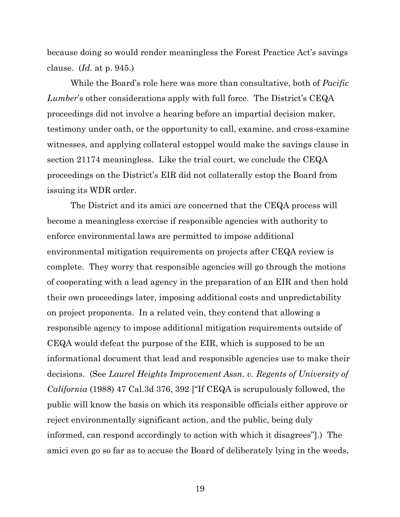because doing so would render meaningless the Forest Practice Act's savings clause. (*Id.* at p. 945.)

While the Board's role here was more than consultative, both of *Pacific Lumber*'s other considerations apply with full force. The District's CEQA proceedings did not involve a hearing before an impartial decision maker, testimony under oath, or the opportunity to call, examine, and cross-examine witnesses, and applying collateral estoppel would make the savings clause in section 21174 meaningless. Like the trial court, we conclude the CEQA proceedings on the District's EIR did not collaterally estop the Board from issuing its WDR order.

The District and its amici are concerned that the CEQA process will become a meaningless exercise if responsible agencies with authority to enforce environmental laws are permitted to impose additional environmental mitigation requirements on projects after CEQA review is complete. They worry that responsible agencies will go through the motions of cooperating with a lead agency in the preparation of an EIR and then hold their own proceedings later, imposing additional costs and unpredictability on project proponents. In a related vein, they contend that allowing a responsible agency to impose additional mitigation requirements outside of CEQA would defeat the purpose of the EIR, which is supposed to be an informational document that lead and responsible agencies use to make their decisions. (See *Laurel Heights Improvement Assn. v. Regents of University of California* (1988) 47 Cal.3d 376, 392 ["If CEQA is scrupulously followed, the public will know the basis on which its responsible officials either approve or reject environmentally significant action, and the public, being duly informed, can respond accordingly to action with which it disagrees"].) The amici even go so far as to accuse the Board of deliberately lying in the weeds,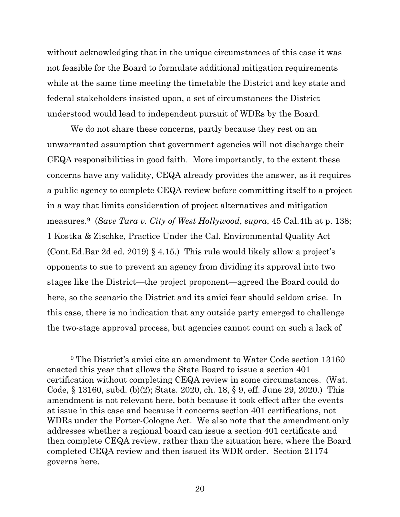without acknowledging that in the unique circumstances of this case it was not feasible for the Board to formulate additional mitigation requirements while at the same time meeting the timetable the District and key state and federal stakeholders insisted upon, a set of circumstances the District understood would lead to independent pursuit of WDRs by the Board.

We do not share these concerns, partly because they rest on an unwarranted assumption that government agencies will not discharge their CEQA responsibilities in good faith. More importantly, to the extent these concerns have any validity, CEQA already provides the answer, as it requires a public agency to complete CEQA review before committing itself to a project in a way that limits consideration of project alternatives and mitigation measures. <sup>9</sup> (*Save Tara v. City of West Hollywood*, *supra*, 45 Cal.4th at p. 138; 1 Kostka & Zischke, Practice Under the Cal. Environmental Quality Act (Cont.Ed.Bar 2d ed. 2019) § 4.15.) This rule would likely allow a project's opponents to sue to prevent an agency from dividing its approval into two stages like the District—the project proponent—agreed the Board could do here, so the scenario the District and its amici fear should seldom arise. In this case, there is no indication that any outside party emerged to challenge the two-stage approval process, but agencies cannot count on such a lack of

<sup>9</sup> The District's amici cite an amendment to Water Code section 13160 enacted this year that allows the State Board to issue a section 401 certification without completing CEQA review in some circumstances. (Wat. Code, § 13160, subd. (b)(2); Stats. 2020, ch. 18, § 9, eff. June 29, 2020.) This amendment is not relevant here, both because it took effect after the events at issue in this case and because it concerns section 401 certifications, not WDRs under the Porter-Cologne Act. We also note that the amendment only addresses whether a regional board can issue a section 401 certificate and then complete CEQA review, rather than the situation here, where the Board completed CEQA review and then issued its WDR order. Section 21174 governs here.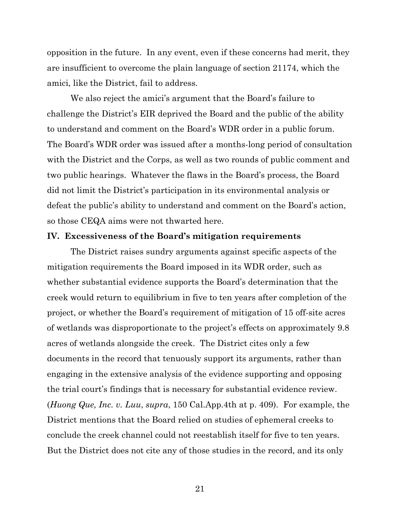opposition in the future. In any event, even if these concerns had merit, they are insufficient to overcome the plain language of section 21174, which the amici, like the District, fail to address.

We also reject the amici's argument that the Board's failure to challenge the District's EIR deprived the Board and the public of the ability to understand and comment on the Board's WDR order in a public forum. The Board's WDR order was issued after a months-long period of consultation with the District and the Corps, as well as two rounds of public comment and two public hearings. Whatever the flaws in the Board's process, the Board did not limit the District's participation in its environmental analysis or defeat the public's ability to understand and comment on the Board's action, so those CEQA aims were not thwarted here.

## **IV. Excessiveness of the Board's mitigation requirements**

The District raises sundry arguments against specific aspects of the mitigation requirements the Board imposed in its WDR order, such as whether substantial evidence supports the Board's determination that the creek would return to equilibrium in five to ten years after completion of the project, or whether the Board's requirement of mitigation of 15 off-site acres of wetlands was disproportionate to the project's effects on approximately 9.8 acres of wetlands alongside the creek. The District cites only a few documents in the record that tenuously support its arguments, rather than engaging in the extensive analysis of the evidence supporting and opposing the trial court's findings that is necessary for substantial evidence review. (*Huong Que, Inc. v. Luu*, *supra*, 150 Cal.App.4th at p. 409). For example, the District mentions that the Board relied on studies of ephemeral creeks to conclude the creek channel could not reestablish itself for five to ten years. But the District does not cite any of those studies in the record, and its only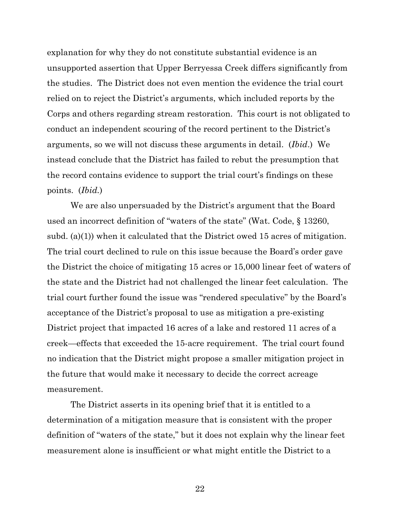explanation for why they do not constitute substantial evidence is an unsupported assertion that Upper Berryessa Creek differs significantly from the studies. The District does not even mention the evidence the trial court relied on to reject the District's arguments, which included reports by the Corps and others regarding stream restoration. This court is not obligated to conduct an independent scouring of the record pertinent to the District's arguments, so we will not discuss these arguments in detail. (*Ibid*.) We instead conclude that the District has failed to rebut the presumption that the record contains evidence to support the trial court's findings on these points. (*Ibid.*)

We are also unpersuaded by the District's argument that the Board used an incorrect definition of "waters of the state" (Wat. Code, § 13260, subd. (a)(1)) when it calculated that the District owed 15 acres of mitigation. The trial court declined to rule on this issue because the Board's order gave the District the choice of mitigating 15 acres or 15,000 linear feet of waters of the state and the District had not challenged the linear feet calculation. The trial court further found the issue was "rendered speculative" by the Board's acceptance of the District's proposal to use as mitigation a pre-existing District project that impacted 16 acres of a lake and restored 11 acres of a creek—effects that exceeded the 15-acre requirement. The trial court found no indication that the District might propose a smaller mitigation project in the future that would make it necessary to decide the correct acreage measurement.

The District asserts in its opening brief that it is entitled to a determination of a mitigation measure that is consistent with the proper definition of "waters of the state," but it does not explain why the linear feet measurement alone is insufficient or what might entitle the District to a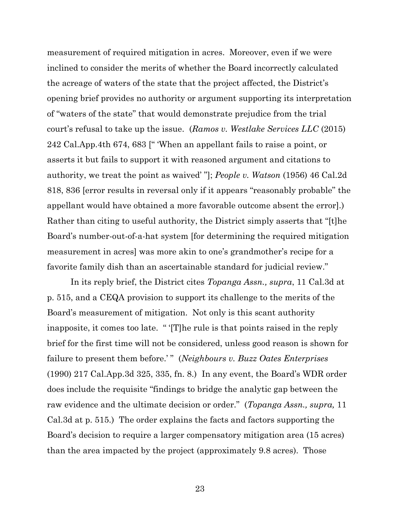measurement of required mitigation in acres. Moreover, even if we were inclined to consider the merits of whether the Board incorrectly calculated the acreage of waters of the state that the project affected, the District's opening brief provides no authority or argument supporting its interpretation of "waters of the state" that would demonstrate prejudice from the trial court's refusal to take up the issue. (*Ramos v. Westlake Services LLC* (2015) 242 Cal.App.4th 674, 683 [" 'When an appellant fails to raise a point, or asserts it but fails to support it with reasoned argument and citations to authority, we treat the point as waived' "]; *People v. Watson* (1956) 46 Cal.2d 818, 836 [error results in reversal only if it appears "reasonably probable" the appellant would have obtained a more favorable outcome absent the error].) Rather than citing to useful authority, the District simply asserts that "[t]he Board's number-out-of-a-hat system [for determining the required mitigation measurement in acres] was more akin to one's grandmother's recipe for a favorite family dish than an ascertainable standard for judicial review."

In its reply brief, the District cites *Topanga Assn., supra*, 11 Cal.3d at p. 515, and a CEQA provision to support its challenge to the merits of the Board's measurement of mitigation. Not only is this scant authority inapposite, it comes too late. " '[T]he rule is that points raised in the reply brief for the first time will not be considered, unless good reason is shown for failure to present them before.'" (*Neighbours v. Buzz Oates Enterprises* (1990) 217 Cal.App.3d 325, 335, fn. 8.) In any event, the Board's WDR order does include the requisite "findings to bridge the analytic gap between the raw evidence and the ultimate decision or order." (*Topanga Assn., supra,* 11 Cal.3d at p. 515.) The order explains the facts and factors supporting the Board's decision to require a larger compensatory mitigation area (15 acres) than the area impacted by the project (approximately 9.8 acres). Those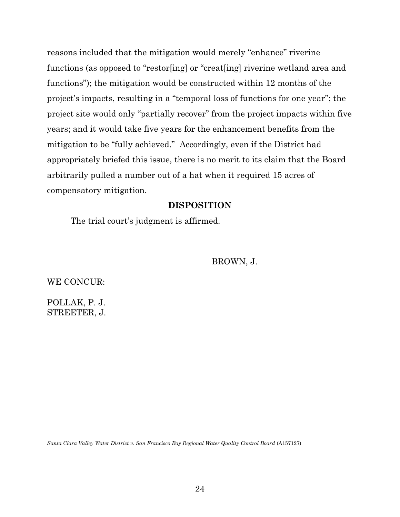reasons included that the mitigation would merely "enhance" riverine functions (as opposed to "restor[ing] or "creat[ing] riverine wetland area and functions"); the mitigation would be constructed within 12 months of the project's impacts, resulting in a "temporal loss of functions for one year"; the project site would only "partially recover" from the project impacts within five years; and it would take five years for the enhancement benefits from the mitigation to be "fully achieved." Accordingly, even if the District had appropriately briefed this issue, there is no merit to its claim that the Board arbitrarily pulled a number out of a hat when it required 15 acres of compensatory mitigation.

## **DISPOSITION**

The trial court's judgment is affirmed.

BROWN, J.

WE CONCUR:

POLLAK, P. J. STREETER, J.

*Santa Clara Valley Water District v. San Francisco Bay Regional Water Quality Control Board* (A157127)